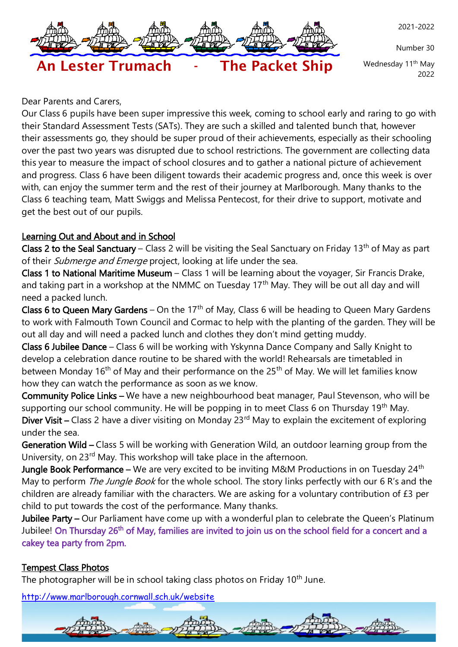

Number 30

Wednesday 11<sup>th</sup> May 2022

# An Lester Trumach - The Packet Ship

Dear Parents and Carers,

Our Class 6 pupils have been super impressive this week, coming to school early and raring to go with their Standard Assessment Tests (SATs). They are such a skilled and talented bunch that, however their assessments go, they should be super proud of their achievements, especially as their schooling over the past two years was disrupted due to school restrictions. The government are collecting data this year to measure the impact of school closures and to gather a national picture of achievement and progress. Class 6 have been diligent towards their academic progress and, once this week is over with, can enjoy the summer term and the rest of their journey at Marlborough. Many thanks to the Class 6 teaching team, Matt Swiggs and Melissa Pentecost, for their drive to support, motivate and get the best out of our pupils.

# Learning Out and About and in School

Class 2 to the Seal Sanctuary – Class 2 will be visiting the Seal Sanctuary on Friday 13<sup>th</sup> of May as part of their *Submerge and Emerge* project, looking at life under the sea.

Class 1 to National Maritime Museum – Class 1 will be learning about the voyager, Sir Francis Drake, and taking part in a workshop at the NMMC on Tuesday 17<sup>th</sup> May. They will be out all day and will need a packed lunch.

Class 6 to Queen Mary Gardens – On the 17<sup>th</sup> of May, Class 6 will be heading to Queen Mary Gardens to work with Falmouth Town Council and Cormac to help with the planting of the garden. They will be out all day and will need a packed lunch and clothes they don't mind getting muddy.

Class 6 Jubilee Dance – Class 6 will be working with Yskynna Dance Company and Sally Knight to develop a celebration dance routine to be shared with the world! Rehearsals are timetabled in between Monday 16<sup>th</sup> of May and their performance on the 25<sup>th</sup> of May. We will let families know how they can watch the performance as soon as we know.

Community Police Links – We have a new neighbourhood beat manager, Paul Stevenson, who will be supporting our school community. He will be popping in to meet Class 6 on Thursday 19<sup>th</sup> May. Diver Visit – Class 2 have a diver visiting on Monday 23<sup>rd</sup> May to explain the excitement of exploring under the sea.

Generation Wild – Class 5 will be working with Generation Wild, an outdoor learning group from the University, on 23<sup>rd</sup> May. This workshop will take place in the afternoon.

Jungle Book Performance – We are very excited to be inviting M&M Productions in on Tuesday 24<sup>th</sup> May to perform *The Jungle Book* for the whole school. The story links perfectly with our 6 R's and the children are already familiar with the characters. We are asking for a voluntary contribution of £3 per child to put towards the cost of the performance. Many thanks.

Jubilee Party – Our Parliament have come up with a wonderful plan to celebrate the Queen's Platinum Jubilee! On Thursday 26<sup>th</sup> of May, families are invited to join us on the school field for a concert and a cakey tea party from 2pm.

# Tempest Class Photos

The photographer will be in school taking class photos on Friday 10<sup>th</sup> June.

<http://www.marlborough.cornwall.sch.uk/website>

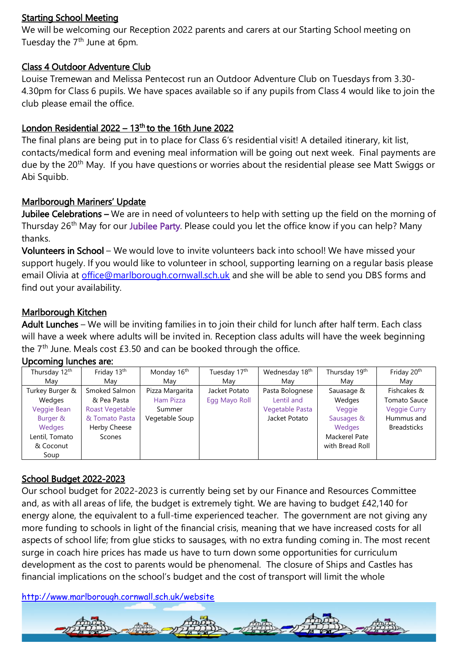#### Starting School Meeting

We will be welcoming our Reception 2022 parents and carers at our Starting School meeting on Tuesday the 7<sup>th</sup> June at 6pm.

# Class 4 Outdoor Adventure Club

Louise Tremewan and Melissa Pentecost run an Outdoor Adventure Club on Tuesdays from 3.30- 4.30pm for Class 6 pupils. We have spaces available so if any pupils from Class 4 would like to join the club please email the office.

# London Residential  $2022 - 13<sup>th</sup>$  to the 16th June 2022

The final plans are being put in to place for Class 6's residential visit! A detailed itinerary, kit list, contacts/medical form and evening meal information will be going out next week. Final payments are due by the 20<sup>th</sup> May. If you have questions or worries about the residential please see Matt Swiggs or Abi Squibb.

#### Marlborough Mariners' Update

Jubilee Celebrations – We are in need of volunteers to help with setting up the field on the morning of Thursday 26<sup>th</sup> May for our Jubilee Party. Please could you let the office know if you can help? Many thanks.

Volunteers in School – We would love to invite volunteers back into school! We have missed your support hugely. If you would like to volunteer in school, supporting learning on a regular basis please email Olivia at [office@marlborough.cornwall.sch.uk](mailto:office@marlborough.cornwall.sch.uk) and she will be able to send you DBS forms and find out your availability.

#### Marlborough Kitchen

Adult Lunches – We will be inviting families in to join their child for lunch after half term. Each class will have a week where adults will be invited in. Reception class adults will have the week beginning the  $7<sup>th</sup>$  June. Meals cost £3.50 and can be booked through the office.

| Thursday 12th   | Friday 13th     | Monday 16 <sup>th</sup> | Tuesday 17th  | Wednesday 18th  | Thursday 19th   | Friday 20th         |
|-----------------|-----------------|-------------------------|---------------|-----------------|-----------------|---------------------|
| Mav             | Mav             | Mav                     | Mav           | Mav             | Mav             | Mav                 |
| Turkey Burger & | Smoked Salmon   | Pizza Margarita         | Jacket Potato | Pasta Bolognese | Sauasage &      | Fishcakes &         |
| Wedges          | & Pea Pasta     | Ham Pizza               | Egg Mayo Roll | Lentil and      | Wedges          | Tomato Sauce        |
| Veggie Bean     | Roast Vegetable | Summer                  |               | Vegetable Pasta | Veggie          | <b>Veggie Curry</b> |
| Burger &        | & Tomato Pasta  | Vegetable Soup          |               | Jacket Potato   | Sausages &      | Hummus and          |
| Wedges          | Herby Cheese    |                         |               |                 | Wedges          | <b>Breadsticks</b>  |
| Lentil, Tomato  | Scones          |                         |               |                 | Mackerel Pate   |                     |
| & Coconut       |                 |                         |               |                 | with Bread Roll |                     |
| Soup            |                 |                         |               |                 |                 |                     |

# Upcoming lunches are:

# School Budget 2022-2023

Our school budget for 2022-2023 is currently being set by our Finance and Resources Committee and, as with all areas of life, the budget is extremely tight. We are having to budget £42,140 for energy alone, the equivalent to a full-time experienced teacher. The government are not giving any more funding to schools in light of the financial crisis, meaning that we have increased costs for all aspects of school life; from glue sticks to sausages, with no extra funding coming in. The most recent surge in coach hire prices has made us have to turn down some opportunities for curriculum development as the cost to parents would be phenomenal. The closure of Ships and Castles has financial implications on the school's budget and the cost of transport will limit the whole

<http://www.marlborough.cornwall.sch.uk/website>